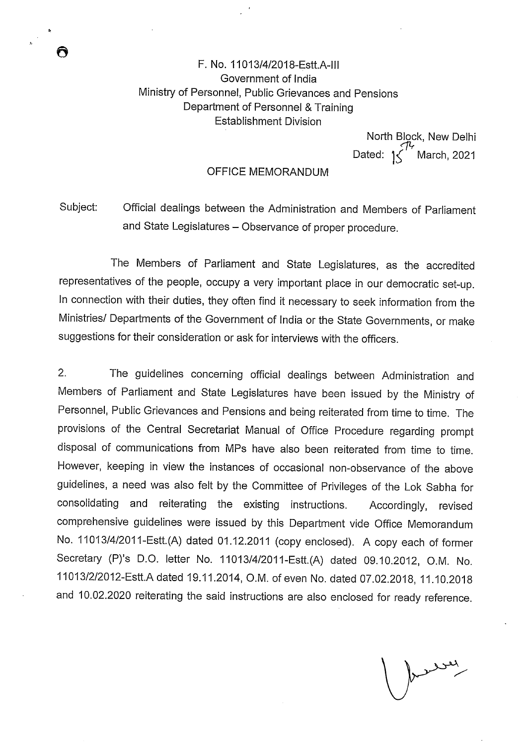# F. No. 11013/4/2018-Estt.A-lll Government of India Ministry of Personnel, Public Grievances and Pensions Department of Personnel & Training Establishment Division

North Block, New Delhi Dated:  $1\sqrt{\frac{7}{16}}$  March, 2021

## OFFICE MEMORANDUM

Subject: Official dealings between the Administration and Members of Parliament and State Legislatures — Observance of proper procedure.

The Members of Parliament and State Legislatures, as the accredited representatives of the people, occupy a very important place in our democratic set-up. In connection with their duties, they often find it necessary to seek information from the Ministries/ Departments of the Government of India or the State Governments, or make suggestions for their consideration or ask for interviews with the officers.

2. The guidelines concerning official dealings between Administration and Members of Parliament and State Legislatures have been issued by the Ministry of Personnel, Public Grievances and Pensions and being reiterated from time to time. The provisions of the Central Secretariat Manual of Office Procedure regarding prompt disposal of communications from MPs have also been reiterated from time to time. However, keeping in view the instances of occasional non-observance of the above guidelines, a need was also felt by the Committee of Privileges of the Lok Sabha for consolidating and reiterating the existing instructions. Accordingly, revised comprehensive guidelines were issued by this Department vide Office Memorandum No. 11013/4!2011-Estt.(A) dated 01.12.2011 (copy enclosed). A copy each of former Secretary (P)'s D.O. letter No. 11013/4/2011-Estt.(A) dated 09.10.2012, O.M. No. 11013/2/2012-EstLA dated 19.11.2014, O.M. of even No. dated 07.02.2018, 11.10.2018 and 10.02.2020 reiterating the said instructions are also enclosed for ready reference.

were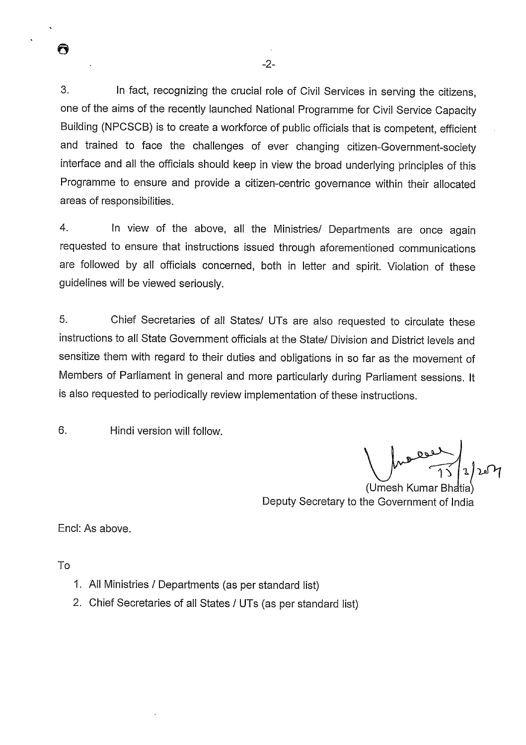3. In fact, recognizing the crucial role of Civil Services in serving the citizens, one of the aims of the recently launched National Programme for Civil Service Capacity Building (NPCSCB) is to create a workforce of public officials that is competent, efficient and trained to face the challenges of ever changing citizen-Government-society interface and all the officials should keep in view the broad underlying principles of this Programme to ensure and provide a citizen-centric governance within their allocated areas of responsibilities.

-2-

4. In view of the above, all the Ministries/ Departments are once again requested to ensure that instructions issued through aforementioned communications are followed by all officials concerned, both in letter and spirit. Violation of these guidelines will be viewed seriously.

5. Chief Secretaries of all States/ UTs are also requested to circulate these instructions to all State Government officials at the State/ Division and District levels and sensitize them with regard to their duties and obligations in so far as the movement of Members of Parliament in general and more particularly during Parliament sessions. It is also requested to periodically review implementation of these instructions.

6. Hindi version will follow.

 $\gamma$ 

(Umesh Kumar Bhatia) Deputy Secretary to the Government of India

End: As above.

To

A

- 1. All Ministries / Departments (as per standard list)
- 2. Chief Secretaries of all States / UTs (as per standard list)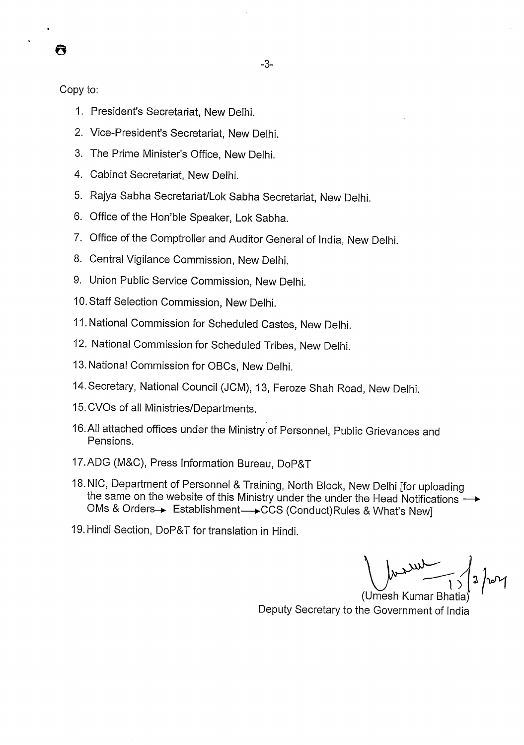Copy to:

Q

- 1. President's Secretariat, New Delhi.
- 2. Vice-President's Secretariat, New Delhi.
- 3. The Prime Minister's Office, New Delhi.
- 4. Cabinet Secretariat, New Delhi.
- 5. Rajya Sabha Secretariat/Lok Sabha Secretariat, New Delhi.
- 6. Office of the Hon'ble Speaker, Lok Sabha.
- 7. Office of the Comptroller and Auditor General of India, New Delhi.
- 8. Central Vigilance Commission, New Delhi.
- 9. Union Public Service Commission, New Delhi.
- 10. Staff Selection Commission, New Delhi.
- *II.* National Commission for Scheduled Castes, New Delhi.
- 12. National Commission for Scheduled Tribes, New Delhi.
- 13. National Commission for OBCs, New Delhi.
- 14. Secretary, National Council (JCM), 13, Feroze Shah Road, New Delhi.
- 15. CVOs of all Ministries/Departments.
- 16.All attached offices under the Ministry of Personnel, Public Grievances and Pensions.
- 17.ADG (M&C), Press Information Bureau, DoP&T
- 18. NIC, Department of Personnel & Training, North Block, New Delhi [for uploading the same on the website of this Ministry under the under the Head Notifications  $\rightarrow$ OMs & Orders $\rightarrow$  Establishment $\rightarrow$ CCS (Conduct)Rules & What's New]
- 19.Hindi Section, DoP&T for translation in Hindi.

(Umesh Kumar Bhatia) Deputy Secretary to the Government of India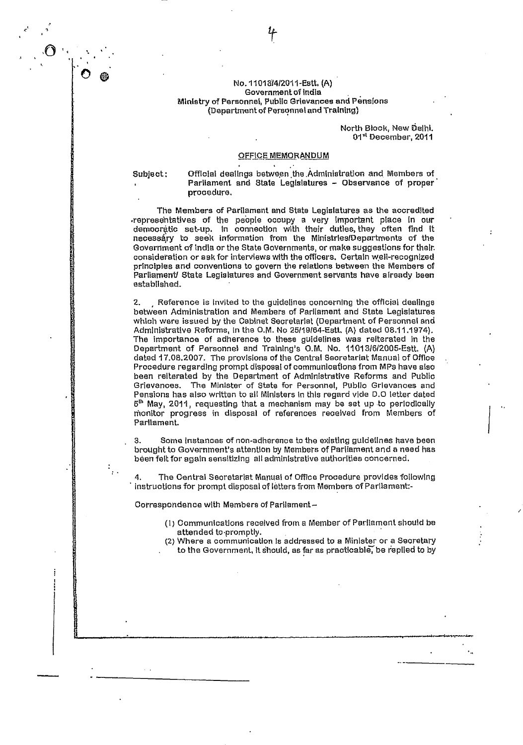#### No. 1101 34/Z011-Estt, (A) Government of India Ministry of Personnel, Public Grievances and Pensions (DepatmentofPorannetand Training)

#### North Block, New Delhi. O1" December, 2011

#### OFFICE MEMORANDUM

Subject: Official dealings between the Administration and Members of Parliament and State Legislatures - Observance of proper procedure.

The Members of Parliament and State Legislatures as the accredited .representatives of the people occupy a very important place in our democratic set-up. In connection with their dutles they often find it necessary to seek information from the Ministries/Departments of the Government of india or the State Governments, or make suggestions for their. consideration or ask for interviews with the officers. Certain well-recognized principles and conventions to govern the relations between the Members of Parliament/ State Legislatures and Government servants have already been established.

2. Reference is invited to the guidelines concerning the official dealings between Administration and Members of Parliament and State Legislatures which were issued by the Cabinet Secretariat (Department of Personnel and Administrative Refbrms, in the O.M. No *25118164-Estt.* (A) dated 08.11.1974). The importance of adherence to these guidelines was reiterated in the Department of Personnel and Training's O.M. No. 11013/6/2005-Estt, (A) dated 17.08.2007. The provisions of the Central Seoretarlat Manusi of *Office*  Procedure regarding prompt disposal of communications from MPs have also been reiterated by the Department of AdmInistrative Reforms and Public Grievances. The Minister of State for Personnel, Public Grievances and Pensions has also written to all Ministers in this regard vide D.O letter dated  $5<sup>th</sup>$  May, 2011, requesting that a mechanism may be set up to periodically monitor progress in disposal of references reoeived from Members of Parliament.

S. Some instances of non-adherence to the existing guidelines have been brought to Government's attention by Members of Parliament and a need has been felt for again sensitizIng all administrative authorities concerned.

4. The Central Secretariat Manual of Office Procedure provides followIng instructions for prompt disposal of letters from Members of Parilament:-

Correspondence with Members of Parliament—

- (i) Communications received from a Member of Parliament should be attended to promptly.
- (2) Where a communication is addressed to a Minister or a Secretary to the Government, it should, as far as practloabIbe rep11ed *to by*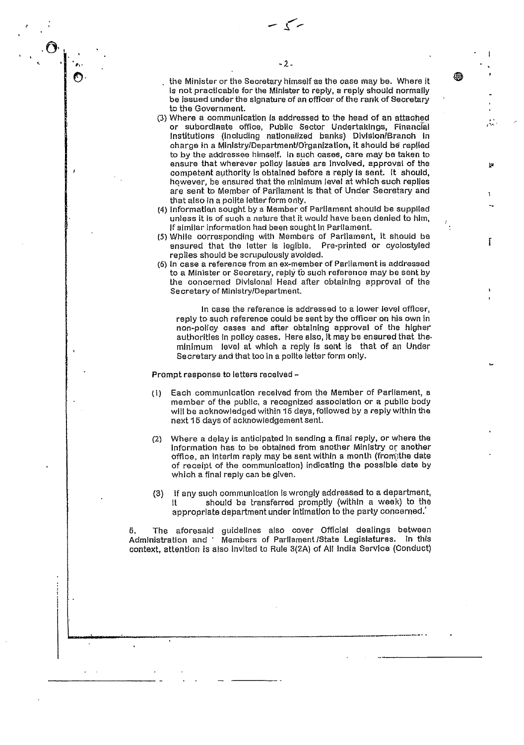سرسم

the Minister or the Secretary himself as the case may be. Where it is not practicable for the Minister to reply, a reply should normally be issued under the signature of an officer of the rank of Secretary to the Government.

- (3) Where a communication is addressed to the head of an attached or subordinate office, Public Sector Undertakings, Financial Institutions (including nationalized banks) Dlvlsion/Branoh in charge in a Minlstry/Department/Organization, it should be replied to by the addressee himself. in such cases, care may be taken to ensure that wherever policy Issues are involved, approval of the competent authority is obtained before a reply is sent. it should, however, be ensured that the minimum level at which such replies are sent to Member of Parliament is that of Under Secretary and that also In a polite letter form only.
- (4) information sought by a Member of Parliament should be supplied unless it is of suoh a nature that it would have been denied to him, If similar information had bean sought In Parliament.
- (5) While corresponding with Members of Parliament, It should be ensured that the letter is legible. Pre-printeci or cyciostyled replies should be scrupulously avoided.

*I'* 

İΩ

đВ

(6) In case a reference from an ex-member of Parliament is addressed to a Minister or Secretary, reply to such reference may be sent by the concerned Divisional Head alter obtaining approval of the Secretary of Ministry/Department.

In case the reference is addressed to a lower level officer, reply to such reference could be sent by the officer on his own in non-policy cases and after obtaining approval of the higher authorities in policy cases. Here also, it may be ensured that the. minimum level at which a reply is sent is that of an Under Secretary and that too in a polite letter form only.

Prompt response to letters received -

0,•

- (I) Each communication received from the Member of Parliament, a member of the public, a recognized association or a public body will be acknowledged within 15 days, followed by a reply within the next 15 days of acknowledgement sent.
- (2) Where a delay is anticipated in sending a final reply, or where the information has to be obtained from another Ministry or another office, an Interim reply may be sent within a month (fram;the date of receipt of the communication) indicating the possible date by which a final reply can be given.
- if any such communication is wrongly addressed to a department, should be transferred promptly (within a week) to the appropriate department under intimation to the party concerned.' (3)

5. The aforesaid guidelines also cover Official dealings between Administration and Members of Parliament/State Legislatures. in this context, attention is also Invited to FuIe 3(2A) of All India Service (Conduct)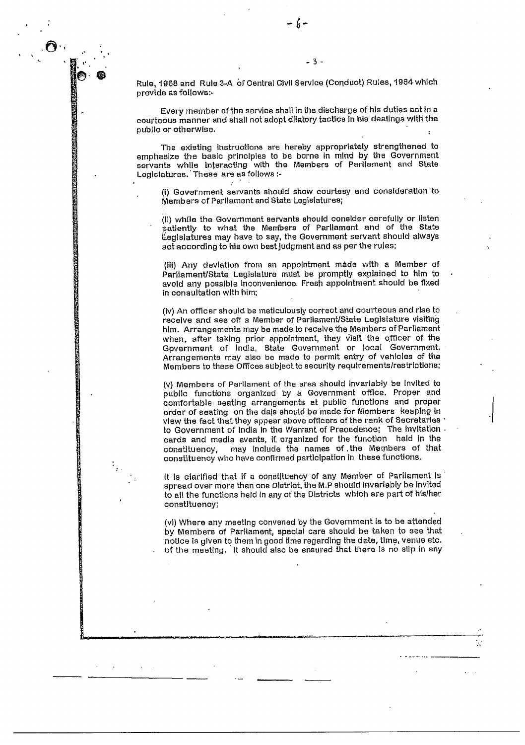Rule, 1968 and Rule 3-A of Central Civil Service (Conduct) Rules, 1964 which provide as follows:-

-3-

Every member of the service shall in the discharge of his duties act in a courteous manner and shall not adopt dilatory tactics in his dealings with the public or otherwise.

The existing instructions are hereby appropriately strengthened to emphasize the basic principles to be borne in mind by the Government servants while interacting with the Members of Parliament and State Legislatures. These are as follows :-

(i) Government servants should show courtesy and consideration to Members of Parliament and State Legislatures;

(ii) while the Government servants should consider carefully or listen patiently to what the Members of Parliament and of the Stats tiegislatures may have to say, the Government servant should always act according to his own best judgment and as per the rules;

(Ill) Any deviation from an appointment made with a Member of Parliament/State Legislature must be promptly explained to him to avoid any possible Inconvenience. Fresh appointment should be fixed in consultation with him;

(lv) An officer should be meticulously correct and courteous and rise to receive and **see** off s Member of Parliament/State Legislature visiting him. Arrangements may be made to receive the Members of Parliament when, after taking prior appointment, they visit the officer of the Gpverriment of lndla, State Government or local Government. Arrangements may also be made to permit entry of vehicles of the Members to these Offices subject to security requirements/restrictions;

(v) Members of Parliament of the area should invariably be invited to public functions organized by a Government office. Proper and comfortable Beating arrangements at public functions and proper order of seating on the dais should be made for Members keeping In view the fact that they appear above officers of the rank of Secretaries to Government of India In the Warrant of Precedence; The invitation cards and media events, If. organized for the function held in the constituency, may include the names of the Members of that constituency who have confirmed participation in these functions.

It is clarified that if a constituency of any Member of Parliament is spread over more than one District, the M,P should Invariably be invited to all the functions held in any of the Districts which are part of his/her constituency;

(vi) Where any meeting convened by the Government is to be attended by Membere of Parliament, special care should be taken to see that notice is given to them in good time regarding the date, time, venue etc. of the meeting. It should also be ensured that there is no slip in any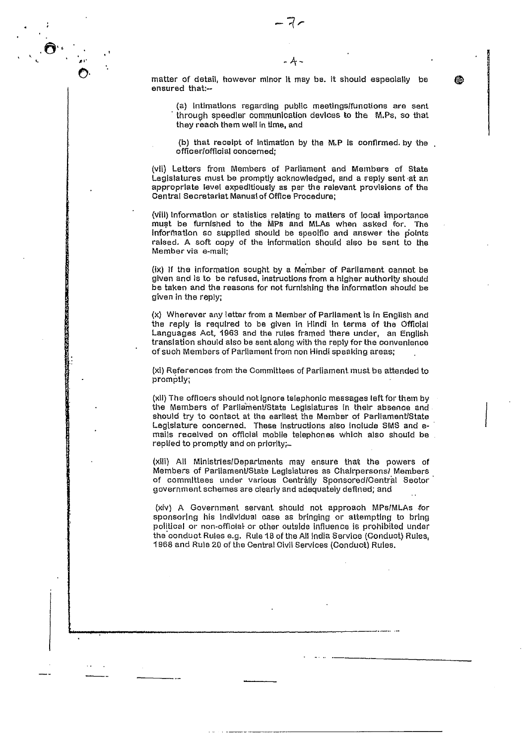matter of detail, however minor It may be. It should especially be ensured that:--

(a) intimations regarding public meetlngslfunctlons are sent through speedier communication devices to the M.Ps, so that they raoh them well in lime, and

(b) that receipt of intimation by the M..P is confirmed. by the officer(official concerned;

(vii) Letters from Members of Parliament and Members of State Legislatures must be promptly acknowledged, and a reply sent at an appropriate level expeditiously as per the relevant provisions of the Central Secretariat Manual of Office Procedure;

(viii) Information or statistics relating to matters of local importance must be furnished to the MPs and MLAs when asked for. The information so supplied should be specific and answer the points raised. A soft copy of the information should also be sent to the Member via e-mail;

(ix) If the information sought by a Member of Parliament cannot be given and Is to be refused, instructions from a higher authority should be taken and the reasons for not furnishing the information should be given in the reply;

(x) Wherever any letter from a Member of Parliament is in English and the reply is required to be given in Hindi In terms of the Official Languages Act, 1963 and the rules framed there under, an English translation should also be sent along with the reply for the convenience of such Members of Parliament from non Hindi speaking areas;

(xi) References from the Committees of Parliament must be attended to promptly;

(xli) The officers should not ignore telephonic messages left for them by the Members of Parliament/State Legislatures in their absence and should try to contact at the earliest the Member of Parliament/State Legtsiature concerned. These Instructions also Include **5MB** and amails received on official mobile telephones which also should he replied to promptly and on priorlty-

(xiii) All Minlstries/Departments may ensure that the powers of Members of ParliamentiState Legisiatures as Chairpersonsl Members of committees under various Centrally Sponsored/Central Sector government schemes are clearly and adequately defined; and

(xiv) A Government servant, should not approach MPs!MLAs for sponsoring his individual case as bringing or attempting to bring political or non-official or other outside influence is prohibited under the conduct Rules e.g. Rule IS of the All India Service (Conduct) Rules, 1968 and Rule 20 of the Central Civil Services (Conduct) Rules.

爬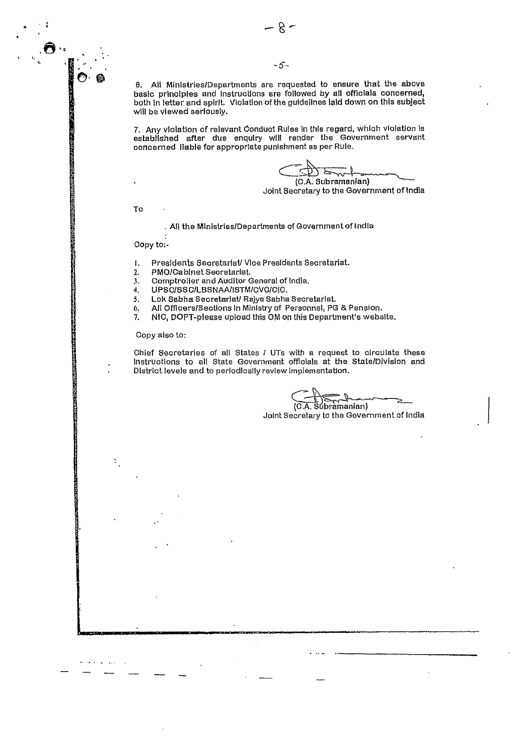6. All Ministries/Departments are requested to ensure that the above basic principles and Instructions are followed by all officials concerned, both in letter and spirit. Violation of the guidelines laid down on this subject will be viewed seriously.

7. Any violation of relevant Oonduot Rules in this regard, which violation is established after due enquiry will render the Government servant concerned liable for appropriate punishment as per Rule.

 $\subset \mathbb{R}$ (C.A. Sub ramanfan)

Joint Secretary to the Government of India

To

. All the Ministries/Departments of Government of India

Copy to;-

- I. Presidents Secretariat/ Vice Presidents Secretariat.
- 2.. PMOlCabinet Secretariat,
- 3. Comptroller and Auditor General of India.
- 4. UPSC/SSC/LBSNAA/ISTM/CVC/CIC.<br>5. Lok Sabha Secretariat/ Rajya Sabha

Lok Sabha Secretariat/ Rajya Sabha Secretariat.

6. All Officers/Sections in Ministry of Personnel, PG & Pension.

7. NlC, DOPT-please upload this OM on this Department's website.

Copy also to:

t

an carrier

Chief Secretaries of all States I UTs with a request to circulate these instructions to all State Government officials at the State/Division and District levels and to periodically review implementation.

(CA. StbramanIan)

Joint Secretary to the Government of India

-5-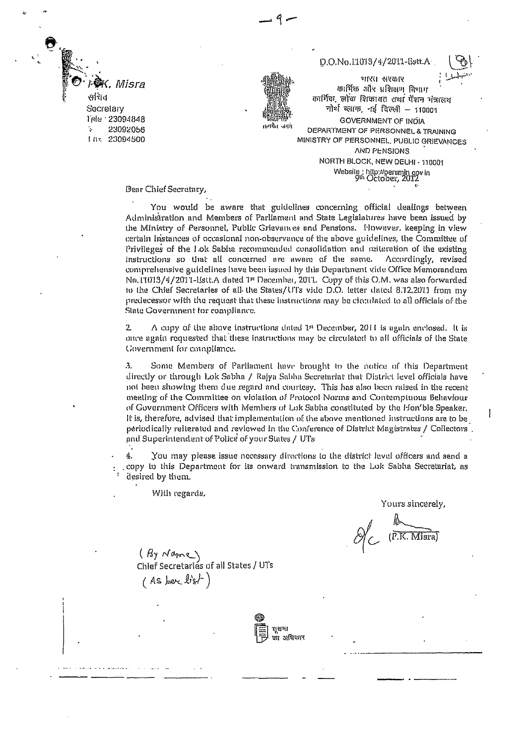K. Misra सनिव Secretary Tele 123094848 23092056  $1.0<$ 23094500

# D.O.No.I.1013/4/2011-Estt.A

कार्भिक, लोक शिकामत तथा पेशन भंत्रालय नोर्थ व्हाक, नई दिल्ली - 110001 GOVERNMENT OF INDIA सत्यपेत जगरा DEPARTMENT OF PERSONNEL & TRAINING MINISTRY OF PERSONNEL, PUBLIC GRIEVANCES **AND PENSIONS** NORTH BLOCK, NEW DELHI - 110001 Website: http://persmin.gov.in<br>9th October, 2012

भारस संस्कार

कार्भिक और प्रशिक्षण विभाग

Dear Chief Secretary,

You would be aware that guidelines concerning official dealings between Administration and Members of Parliament and State Legislatures have been issued by the Ministry of Personnel, Public Grievances and Pensions. However, keeping in view certain instances of occasional non-observance of the above guidelines, the Committee of Privileges of the Lok Sabha recommended consolidation and reiteration of the existing instructions so that all concerned are aware of the same. Accordingly, revised comprehensive guidelines have been issued by this Department vide Office Memorandum No.11013/4/2011-Estt.A dated 1st December, 2011. Copy of this O.M. was also forwarded to the Chief Secretaries of all the States/UTs vide D.O. letter dated 8.12.2011 from my predecessor with the request that these instructions may be circulated to all officials of the State Government for compliance.

 $\ddot{z}$  $\triangle$  copy of the above instructions dated 1st December, 2011 is again enclosed. It is once again requested that these instructions may be circulated to all officials of the State Government for compliance.

Some Members of Parliament have brought to the notice of this Department  $\overline{3}$ . directly or through Lok Sabha / Rajya Sabha Secretariat that District level officials have not been showing them due regard and courtesy. This has also been raised in the recent meeting of the Committee on violation of Protocol Norms and Contemptuous Behaviour of Government Officers with Members of Lok Sabha constituted by the Flon'ble Speaker, It is, therefore, advised that implementation of the above mentioned instructions are to be periodically reiterated and reviewed in the Conference of District Magistrates / Collectors and Superintendent of Police of your States / UTs

4. You may please issue necessary directions to the district level officers and send a copy to this Department for its onward transmission to the Lok Sabha Secretariat, as desired by them.

With regards,

Yours sincerely,

I

 $\mathcal{A}_{C}$  (P.K. Misra)

 $(B_7 \wedge B_7)$ <br>Chief Secretaries of all States / UTs  $(As$  here list)

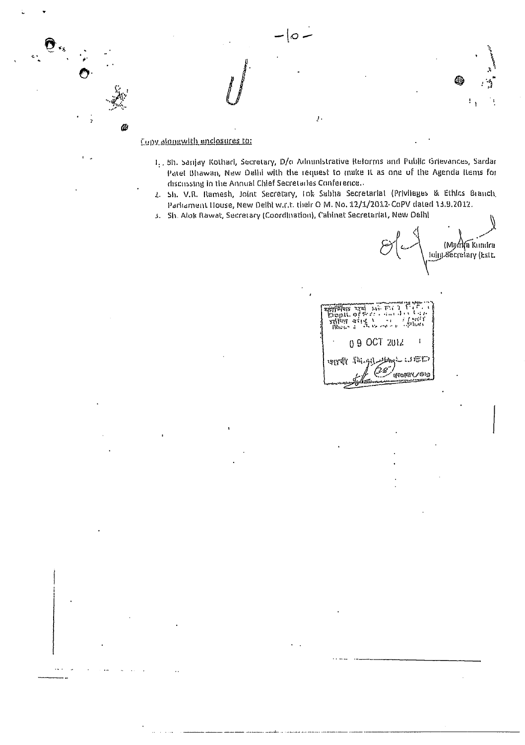# Copy alongwith enclosures to:

Ø

1. 5h. Sanjay Kothari, Secretary, D/o Administrative Reforms and Public Grievances, Sardar Patel Bhawan, New Delhi with the request to make it as one of the Agenda Items for discussing in the Annual Chief Secretaries Conference...

 $\bar{J}$  .

- 2. Sh. V.R. Ramesh, Joint Secretary, Tok Sabha Secretarial (Privileges & Ethics Branch, Parliament House, New Delhi w.r.t. their O M. No. 12/1/2012-CoPV dated 13.9.2012.
- 3. Sh. Alok Rawat, Secretary (Coordination), Cabinet Secretarial, New Delhi

 $|_{\mathcal{O}}$  .

Mome Kundra)<br>Luiy Xecretary (Est)

ম্লামিণিক an an<br>Sama ÷. 09 OCT 2012 জন্নহীয়ে এটা ๎<sub>ଐ</sub>ଽଊ୲ଽଌ୰୵ଽଽ୲ଡ଼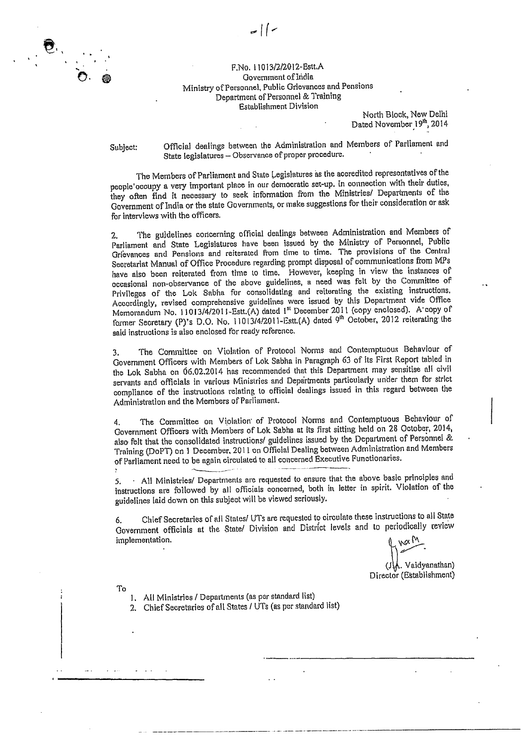

#### F.No. 110 13/2/2012-Bstt.A Government of India Ministry of Personnel, Public Grievances arid Pensions Department of Personnel & Training Establishment Division

North Block, New Delhi Dated November 19th, 2014

Subject: Official dealings between the Administration and Members of Parliament and State legislatures — Observance of proper procedure.

The Members of Parliament and State Legislatures as the accredited representatives of the people'occupy a very important place in our democratic set-up. In connection with their duties, they often find it necessary to seek information from the Ministries/ Departments of the Government of India or the state Governments, or make suggestions for their consideration or ask for interviews with the officers.

2. The guidelines concerning official dealings between Administration and Members of Parliament and State Legislatures have been issued by the Ministry of Personnel, Public Grievances and Pensions and reiterated From time to time. The provisions of the Central Secretariat Manual of Office Procedure regarding prompt disposal of communications from MPs have also been reiterated from time to time. However, keeping in view the instances of occasional non-observance of the above guidelines, a need was felt by the Committee of Privileges of the Lok Sabha for consolidating and reiterating the existing instructions. Accordingly, revised comprehensive guidelines were issued by this Department vide Office Memorandum No. 11013/4/2011-Estt.(A) dated 1st December 2011 (copy enclosed). A copy of former Secretary (P)'s D.O. No. 11013/4/2011-13stt.(A) dated 9<sup>th</sup> October, 2012 reiterating the said instructions is also enclosed for ready reference.

3. The Committee on Violation of Protocol Norms and Contemptuous Behaviour of Government Officers with Members of Lok Sabha in Paragraph 63 of its First Report tabled in the Lok Sabha on 06.02.2014 has recommended that this Department may sensitise all civil servants and officials in various Ministries and Departments particularly under them for strict compliance of the instructions relating to official dealings issued in this regard between the Administration and the Members of Parliament.

4. The Committee on Violation of Protocol Norms and Contemptuous Behaviour of Government Officers with Members of Lok Sabha at its first sitting held on 28 October, 2014, also- felt that the consolidated instructions/ guidelines issued by the Department of Personnel & Training (DoPT) on 1 December, 2011 on Official Dealing between Administration and Members of Parliament need to be again circulated to all concerned Executive Functionaries.

5. . All Ministries/ Departments are requested to ensure that the above basic principles and instructions are followed by all officials concerned, both in letter in spirit. Violation of the guidelines laid down on this subject will be viewed seriously.

6. Chief Secretaries of all States/ UTs are requested to circulate these instructions to all State Government officials at the State/ Division and District levels and to periodically review implementation.

(il/fL. Vaidyanathan)

Director (Establishment)

To

1. All Ministries / Departments (as per standard list)

2. Chief Secretaries of all States *I* UTs (as per standard list)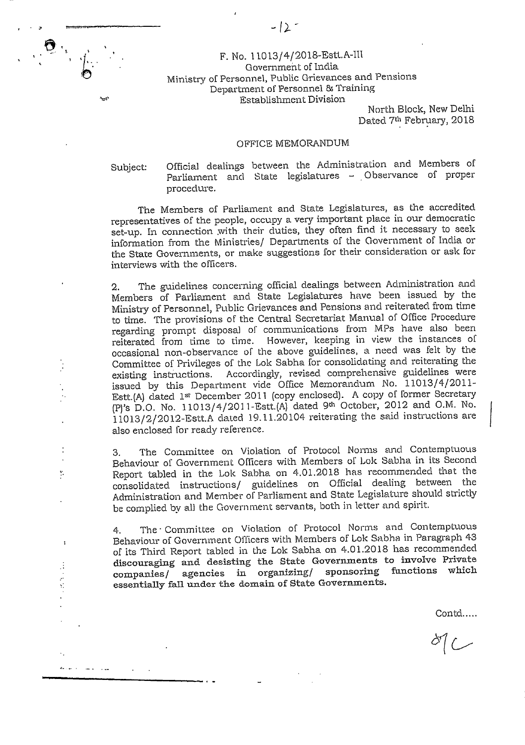#### F. No. 11013/4/2018-EStt.A-111 Government of India Ministry of Personnel, Public Grievances and Pensions Department of Personnel & Training Establishment Division

North Block, New Delhi Dated 7th February, 2018

#### OFFICE MEMORANDUM

دید.

 $\ddot{\phantom{1}}$ 

 $\overline{\phantom{a}}$ 

÷

سواد المسترد والمرتبة

Subject: Official dealings between the Administration and Members of Parliament and State legislatures - Observance of proper procedure.

The Members of Parliament and State Legislatures, as the accredited representatives of the people, occupy a very important place in our democratic set-up. In connection .with their duties, they often find *it* necessary to seek information from the Ministries/ Departments of the Government of India or the State Governments, or make suggestions for their consideration or ask for interviews with the officers.

2. The guidelines concerning official dealings between Administration and Members of Parliament and State Legislatures have been issued by the Ministry of Personnel, Public Grievances and Pensions and reiterated from time to time. The provisions of the Central Secretariat Manual of Office Procedure regarding prompt disposal of communications from MPs have also been reiterated from time to time. However, keeping in view the instances of occasional non-observance of the above guidelines, a need was felt by the Committee of Privileges of the Lok Sabha for consolidating and reiterating the existing instructions. Accordingly, revised comprehensive guidelines were issued by this Department vicle Office Memorandum No. 11013/4/2011- Estt.(A) dated 1st December 2011 (copy enclosed). A copy of former Secretary (F) 'S D.O. No. 1 1013 / 4 / 2011 -Estt. (A) dated 9th October, 2012 and 0. M. No. 11013/2/20 12-Estt.A dated 19.11.20104 reiterating the said instructions are also enclosed for ready reference.

3. The Committee on Violation of Protocol Norms and Contemptuous Behaviour of Government Officers with Members of Lok Sabha in its Second Report tabled in the Lok Sabha on 4.01.2018 has recommended that the consolidated instructions/ guidelines on Official dealing between the Administration and Member of Parliament and State Legislature should strictly be complied by all the Government servants, both in letter and spirit.

4. The Committee on Violation of Protocol Norms and Contemptuous Behaviour of Government OlTicers with Members of Lok Sabha in Paragraph 43 of its Third Report tabled in the Lok Sabha on 4.01.2018 has recommended discouraging and desisting the State Governments to involve Private<br>companies/ agencies in organizing/ sponsoring functions which companies/ agencies in organizing/ sponsoring essentially fall under the domain of State Governments.

Contd……

 $dC$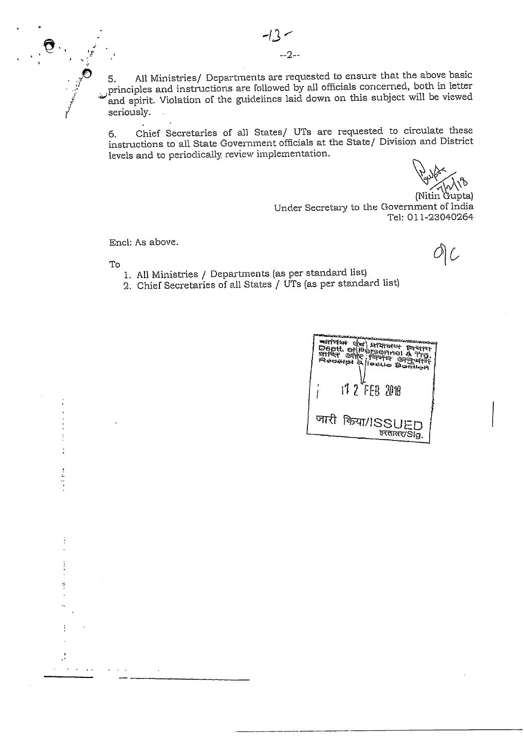$-2-$ 

All Ministries/ Departments are requested to ensure that the above basic 5. principles and instructions are followed by all officials concerned, both in letter and spirit. Violation of the guidelines laid down on this subject will be viewed seriously.

Chief Secretaries of all States/ UTs are requested to circulate these 6. instructions to all State Government officials at the State/ Division and District levels and to periodically review implementation.

(Nitin Gupta) Under Secretary to the Government of India Tel: 011-23040264

Encl: As above.

O) C

To

 $\begin{array}{c} \frac{1}{2} & \frac{1}{2} \\ \frac{1}{2} & \frac{1}{2} \\ \frac{1}{2} & \frac{1}{2} \end{array}$ 

- 1. All Ministries / Departments (as per standard list)
- 2. Chief Secretaries of all States / UTs (as per standard list)

| म्भामका सूच सम्प्राप्तका ख्रेलीका<br>Depti. efféérmeil à Tre.<br>Bepti. efféérmeil à Tre.<br>stret effé f <sup>eister</sup> ef <del>gér</del> r<br>Regella a lleanio Boshon |
|-----------------------------------------------------------------------------------------------------------------------------------------------------------------------------|
| $177$ FEB $200$                                                                                                                                                             |
| जारी किया/ISSUED<br>रुरताक्षर/Sig.                                                                                                                                          |
|                                                                                                                                                                             |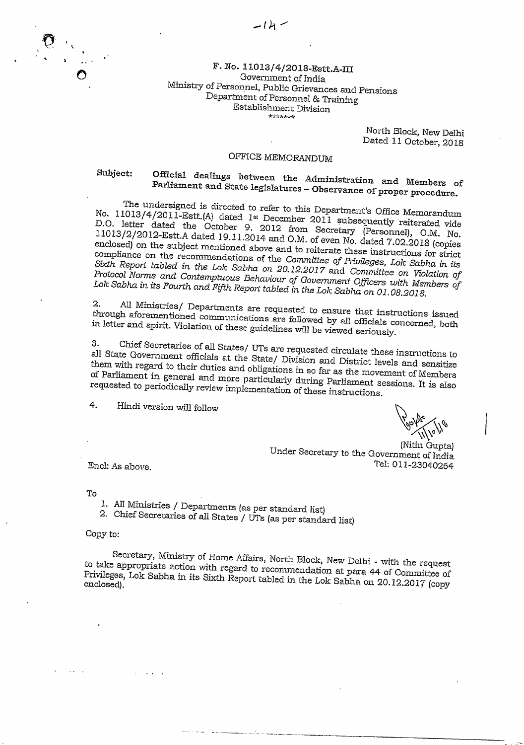## F. No. 11013/4/2018-Estt.A-III Government of India Ministxy of Personnel, Public Grievances and Pensions Department of Personnel & Training Establishment Division

North Elock, New Delhi Dated 11 October, 2018

# OFFICE MEMORANDUM

# Subject: Official dealings between *the* Administration and Members of Parliament and State legislatures - Observance of proper procedure.

The undersigned is directed to refer to this Department's Office Memorandum No. 11013/4/2011-Estt.(A) dated 1st December 2011 subsequently reiterated vide D.O. letter dated the October 9, 2012 from Secretary (Personnel), O.M. No.<br>11013/2/2012-Estt.A dated 19.11.2014 and O.M. of even No dated 7.03. O.M. No. 11013/2/2012-Estt.A dated 19.11.2014 and O.M. of even No. dated 7.02.2018 (copies enclosed) on the subject mentioned above and to reiterate these instructions for strict compliance on the recommendations of the Committee of Privileges, Lok Sabha in its Sixth Report tabled in the Lok Sabha on 20.12.2017 and Committee on Violation of<br>Protocol Norms and Contemptuous Behaviour of Government Officers with Members of Lok Sabha in its Fourth and Fifth Report tabled in the Lok Sabha on 01.08.2018.

*2. All* Ministries/ Departments are requested to ensure that instructions issued through aforementioned communications are followed by all officials concerned, both in letter and spirit. Violation of these guidelines will be viewed seriously.

3. Chief Secretaries of all States/ UTs are requested circulate these instructions to all State Government officials at the State/ Division and District levels and sensitize them with regard to their duties and obligations in so far as the movement of Members of Parliament in general and more particularly during Parliament sessions. It is also requested to periodically review implementation of these instructions.

4. Hindi version will follow

(Nitin Gupta) Under Secretary to the Government of India Tel; 011-23040254

End: As above.

To

- 1. All Ministries / Departments (as per standard list)
- 2. Chief Secretaries of all States / UTs (as per standard list)

Copy to:

Secretary, Ministry of Home Affairs, North Block, New Delhi - with the request to take appropriate action with regard to recommendation at para 44 of Committee of Privileges, Lok Sabha in its Sixth Report tabled in the Lok Sabha on 20.12.2017 (copy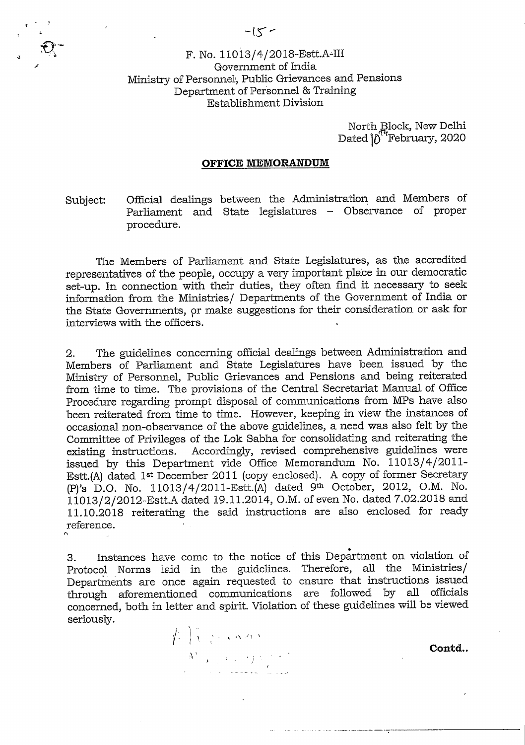# F. No. 11013/4/2018-Estt.A-III Government of India Ministry of Personnel', Public Grievances and Pensions Department of Personnel & Training Establishment Division

North Block, New Delhi Dated  $\int_0^{r}$ February, 2020

#### **OFFICE MEMORANDUM**

Subject: Official dealings between the Administration and Members of Parliament and State legislatures - Observance of proper procedure.

The Members of Parliament and State Legislatures, as the accredited representatives of the people, occupy a very important place in our democratic set-up. In connection with their duties, they often find it necessary to seek information from the Ministries/ Departments of the Government of India or the State Governments, or make suggestions for their consideration or ask for interviews with the officers.

2. The guidelines concerning official dealings between Administration and Members of Parliament and State Legislatures have been issued by the Ministry of Personnel, Public Grievances and Pensions and being reiterated from time to time. The provisions of the Central Secretariat Manual of Office Procedure regarding prompt disposal of communications from MPs have also been reiterated from time to time. However, keeping in view the instances of occasional non-observance of the above guidelines, a need was also felt by the Committee of Privileges of the Lok Sabha for consolidating and reiterating the existing instructions. Accordingly, revised comprehensive guidelines were issued by this Department vide Office Memorandum No. 11013/4/2011- Estt.(A) dated 1st December 2011 (copy enclosed). A copy of former Secretary (P)'s D.O. No. 11013/4/2011-Estt.(A) dated 9th October, 2012, O.M. No. 11013/2/2012-Estt.A dated 19.11.2014, O.M. of even No. dated 7.02.2018 and 11.10.2018 reiterating the said instructions are also enclosed for ready reference.

3. Instances have come to the notice of this Department on violation of Protocol Norms laid in the guidelines. Therefore, all the Ministries/ Departments are once again requested to ensure that instructions issued through aforementioned communications are followed by all officials concerned, both in letter and spirit. Violation of these guidelines will be viewed seriously.



**Contd..** 

t.